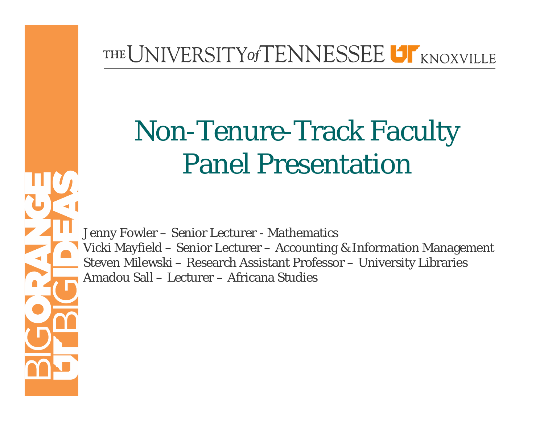#### THE UNIVERSITY of TENNESSEE UT KNOXVILLE

# Non-Tenure-Track Faculty Panel Presentation

Jenny Fowler – Senior Lecturer - Mathematics Vicki Mayfield – Senior Lecturer – Accounting & Information Management Steven Milewski – Research Assistant Professor – University Libraries Amadou Sall – Lecturer – Africana Studies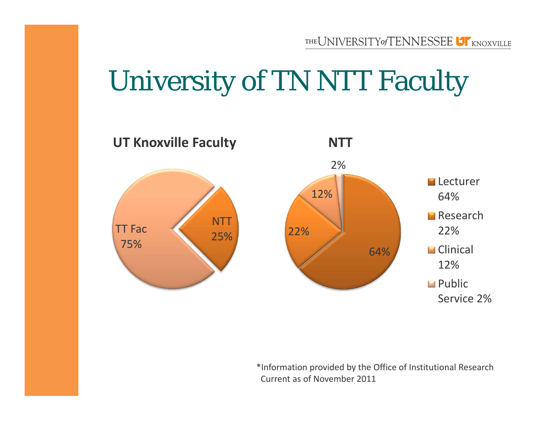### University of TN NTT Faculty



\*Information provided by the Office of Institutional Research Current as of November 2011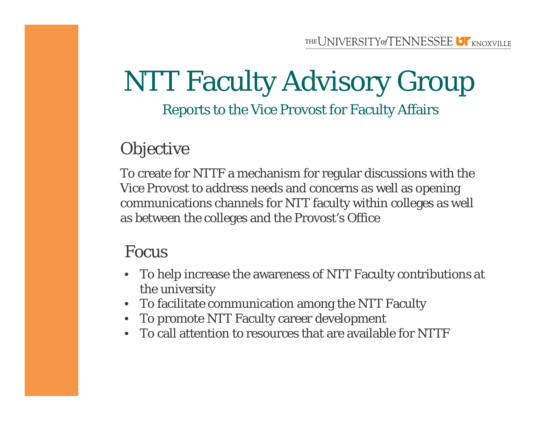#### NTT Faculty Advisory Group Reports to the Vice Provost for Faculty Affairs

#### **Objective**

To create for NTTF a mechanism for regular discussions with the Vice Provost to address needs and concerns as well as opening communications channels for NTT faculty within colleges as well as between the colleges and the Provost's Office

#### Focus

- To help increase the awareness of NTT Faculty contributions at the university
- To facilitate communication among the NTT Faculty
- To promote NTT Faculty career development
- To call attention to resources that are available for NTTF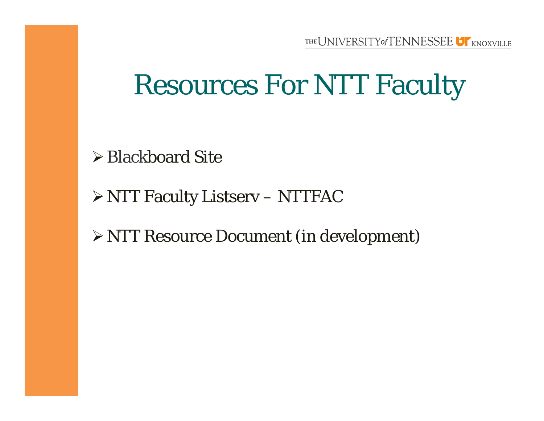## Resources For NTT Faculty

**≻ Blackboard Site** 

NTT Faculty Listserv – NTTFAC

NTT Resource Document (in development)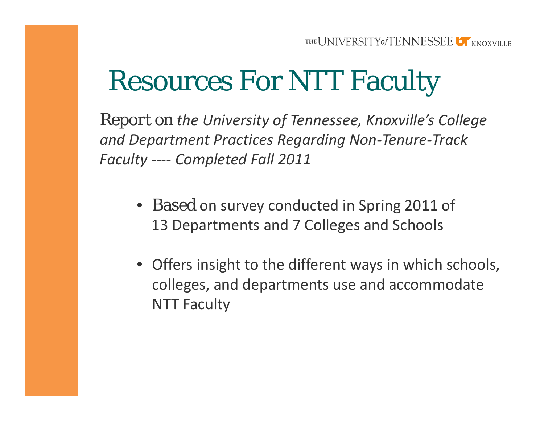# Resources For NTT Faculty

*Report on the University of Tennessee, Knoxville's College and Department Practices Regarding Non ‐Tenure ‐Track Faculty ‐‐‐‐ Completed Fall 2011*

- Based on survey conducted in Spring 2011 of 13 Departments and 7 Colleges and Schools
- Offers insight to the different ways in which schools, colleges, and departments use and accommodate NTT Faculty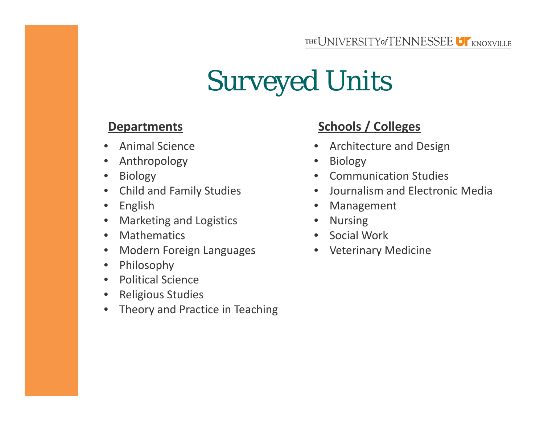# Surveyed Units

#### **Departments**

- •Animal Science
- $\bullet$ Anthropology
- $\bullet$ Biology
- $\bullet$ Child and Family Studies
- $\bullet$ English
- $\bullet$ Marketing and Logistics
- $\bullet$ Mathematics
- $\bullet$ **•** Modern Foreign Languages
- $\bullet$ Philosophy
- $\bullet$ Political Science
- $\bullet$ Religious Studies
- $\bullet$ Theory and Practice in Teaching

#### **/ Colleges**

- $\bullet$ **•** Architecture and Design
- •Biology
- Communication Studies
- Journalism and Electronic Media
- Management
- Nursing
- Social Work
- Veterinary Medicine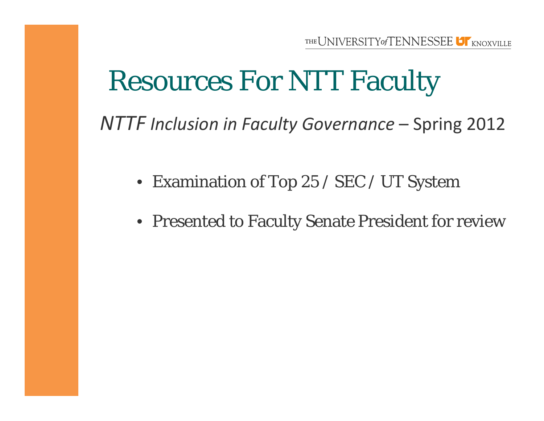# Resources For NTT Faculty

*NTTF Inclusion in Faculty Governance* – Spring 2012

- Examination of Top 25 / SEC / UT System
- Presented to Faculty Senate President for review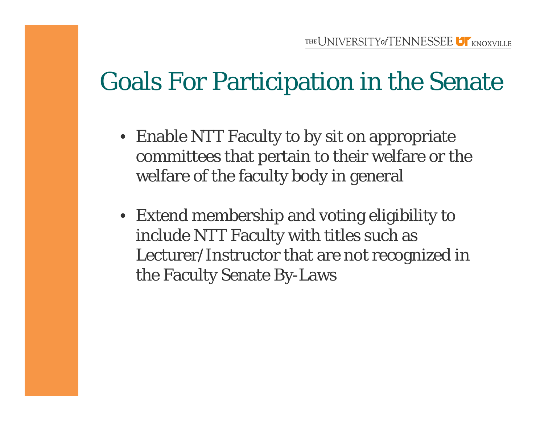#### Goals For Participation in the Senate

- Enable NTT Faculty to by sit on appropriate committees that pertain to their welfare or the welfare of the faculty body in general
- Extend membership and voting eligibility to include NTT Faculty with titles such as Lecturer/Instructor that are not recognized in the Faculty Senate By-Laws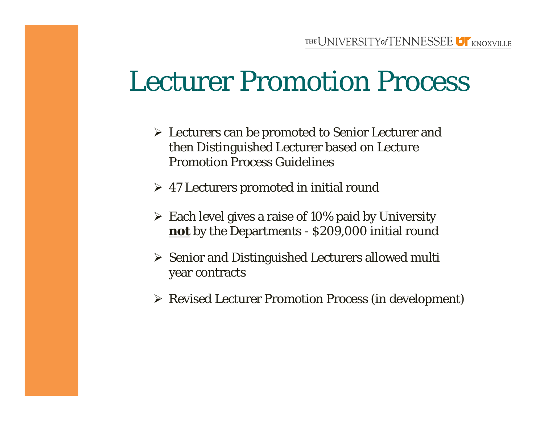### Lecturer Promotion Process

- Lecturers can be promoted to Senior Lecturer and then Distinguished Lecturer based on Lecture Promotion Process Guidelines
- 47 Lecturers promoted in initial round
- $\triangleright$  Each level gives a raise of 10% paid by University **not** by the Departments - \$209,000 initial round
- $\triangleright$  Senior and Distinguished Lecturers allowed multi year contracts
- Revised Lecturer Promotion Process (in development)